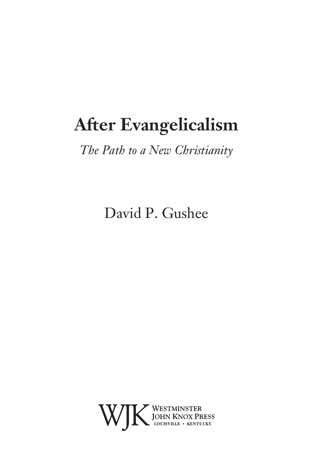# **After Evangelicalism**

*The Path to a New Christianity*

David P. Gushee

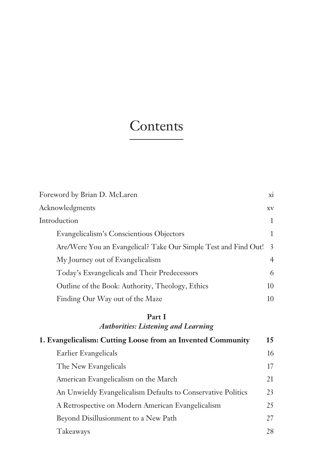## **Contents**

| Foreword by Brian D. McLaren                                    | xi           |
|-----------------------------------------------------------------|--------------|
| Acknowledgments                                                 | XV           |
| Introduction                                                    | $\mathbf{1}$ |
| Evangelicalism's Conscientious Objectors                        | 1            |
| Are/Were You an Evangelical? Take Our Simple Test and Find Out! | - 3          |
| My Journey out of Evangelicalism                                | 4            |
| Today's Exvangelicals and Their Predecessors                    | 6            |
| Outline of the Book: Authority, Theology, Ethics                | 10           |
| Finding Our Way out of the Maze                                 | 10           |

#### **Part I**

#### *Authorities: Listening and Learning*

| 1. Evangelicalism: Cutting Loose from an Invented Community  | 15 |
|--------------------------------------------------------------|----|
| Earlier Evangelicals                                         | 16 |
| The New Evangelicals                                         | 17 |
| American Evangelicalism on the March                         | 21 |
| An Unwieldy Evangelicalism Defaults to Conservative Politics | 23 |
| A Retrospective on Modern American Evangelicalism            | 25 |
| Beyond Disillusionment to a New Path                         | 27 |
| Takeaways                                                    | 28 |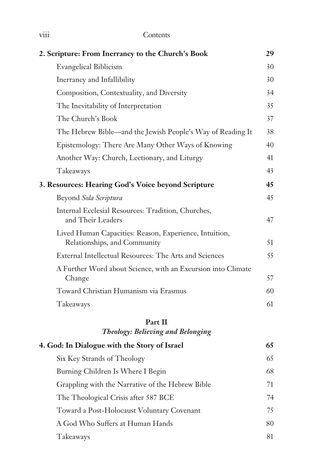| $\cdots$ |          |
|----------|----------|
| V111     | Contents |

| 2. Scripture: From Inerrancy to the Church's Book                                      | 29 |
|----------------------------------------------------------------------------------------|----|
| <b>Evangelical Biblicism</b>                                                           | 30 |
| Inerrancy and Infallibility                                                            | 30 |
| Composition, Contextuality, and Diversity                                              | 34 |
| The Inevitability of Interpretation                                                    | 35 |
| The Church's Book                                                                      | 37 |
| The Hebrew Bible-and the Jewish People's Way of Reading It                             | 38 |
| Epistemology: There Are Many Other Ways of Knowing                                     | 40 |
| Another Way: Church, Lectionary, and Liturgy                                           | 41 |
| Takeaways                                                                              | 43 |
| 3. Resources: Hearing God's Voice beyond Scripture                                     | 45 |
| Beyond Sola Scriptura                                                                  | 45 |
| Internal Ecclesial Resources: Tradition, Churches,<br>and Their Leaders                | 47 |
| Lived Human Capacities: Reason, Experience, Intuition,<br>Relationships, and Community | 51 |
| External Intellectual Resources: The Arts and Sciences                                 | 55 |
| A Further Word about Science, with an Excursion into Climate<br>Change                 | 57 |
| Toward Christian Humanism via Erasmus                                                  | 60 |
| Takeaways                                                                              | 61 |
| Part II                                                                                |    |
| Theology: Believing and Belonging                                                      |    |
| 4. God: In Dialogue with the Story of Israel                                           | 65 |
| Six Key Strands of Theology                                                            | 65 |
| Burning Children Is Where I Begin                                                      | 68 |
| Grappling with the Narrative of the Hebrew Bible                                       | 71 |
| The Theological Crisis after 587 BCE                                                   | 74 |
| Toward a Post-Holocaust Voluntary Covenant                                             | 75 |
| A God Who Suffers at Human Hands                                                       | 80 |
| Takeaways                                                                              | 81 |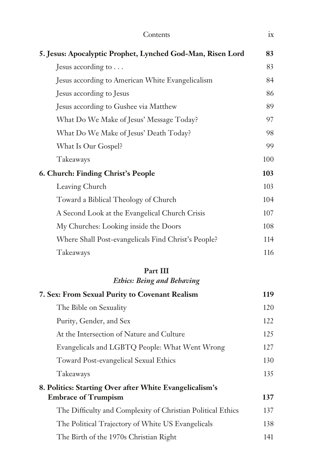| Contents                                                                              | ix  |
|---------------------------------------------------------------------------------------|-----|
| 5. Jesus: Apocalyptic Prophet, Lynched God-Man, Risen Lord                            | 83  |
| Jesus according to                                                                    | 83  |
| Jesus according to American White Evangelicalism                                      | 84  |
| Jesus according to Jesus                                                              | 86  |
| Jesus according to Gushee via Matthew                                                 | 89  |
| What Do We Make of Jesus' Message Today?                                              | 97  |
| What Do We Make of Jesus' Death Today?                                                | 98  |
| What Is Our Gospel?                                                                   | 99  |
| Takeaways                                                                             | 100 |
| 6. Church: Finding Christ's People                                                    | 103 |
| Leaving Church                                                                        | 103 |
| Toward a Biblical Theology of Church                                                  | 104 |
| A Second Look at the Evangelical Church Crisis                                        | 107 |
| My Churches: Looking inside the Doors                                                 | 108 |
| Where Shall Post-evangelicals Find Christ's People?                                   | 114 |
| Takeaways                                                                             | 116 |
| Part III                                                                              |     |
| <b>Ethics: Being and Behaving</b>                                                     |     |
| 7. Sex: From Sexual Purity to Covenant Realism                                        | 119 |
| The Bible on Sexuality                                                                | 120 |
| Purity, Gender, and Sex                                                               | 122 |
| At the Intersection of Nature and Culture                                             | 125 |
| Evangelicals and LGBTQ People: What Went Wrong                                        | 127 |
| <b>Toward Post-evangelical Sexual Ethics</b>                                          | 130 |
| Takeaways                                                                             | 135 |
| 8. Politics: Starting Over after White Evangelicalism's<br><b>Embrace of Trumpism</b> | 137 |
| The Difficulty and Complexity of Christian Political Ethics                           | 137 |
| The Political Trajectory of White US Evangelicals                                     | 138 |
| The Birth of the 1970s Christian Right                                                | 141 |
|                                                                                       |     |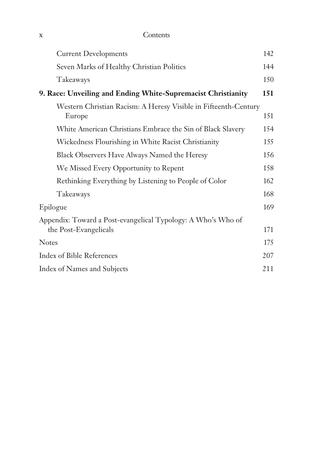| Contents<br>X |
|---------------|
|               |

| <b>Current Developments</b>                                               | 142 |
|---------------------------------------------------------------------------|-----|
| Seven Marks of Healthy Christian Politics                                 | 144 |
| Takeaways                                                                 | 150 |
| 9. Race: Unveiling and Ending White-Supremacist Christianity              | 151 |
| Western Christian Racism: A Heresy Visible in Fifteenth-Century<br>Europe | 151 |
| White American Christians Embrace the Sin of Black Slavery                | 154 |
| Wickedness Flourishing in White Racist Christianity                       | 155 |
| Black Observers Have Always Named the Heresy                              | 156 |
| We Missed Every Opportunity to Repent                                     | 158 |
| Rethinking Everything by Listening to People of Color                     | 162 |
| Takeaways                                                                 | 168 |
| Epilogue                                                                  | 169 |
| Appendix: Toward a Post-evangelical Typology: A Who's Who of              |     |
| the Post-Evangelicals                                                     | 171 |
| <b>Notes</b>                                                              | 175 |
| Index of Bible References                                                 | 207 |
| Index of Names and Subjects                                               | 211 |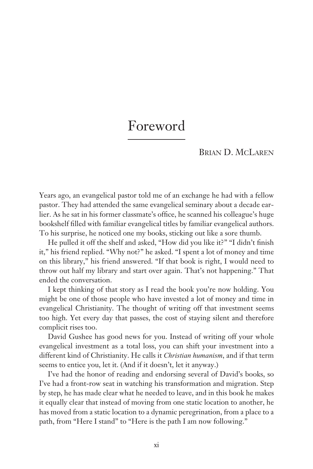### Foreword

#### Brian D. McLaren

Years ago, an evangelical pastor told me of an exchange he had with a fellow pastor. They had attended the same evangelical seminary about a decade earlier. As he sat in his former classmate's office, he scanned his colleague's huge bookshelf filled with familiar evangelical titles by familiar evangelical authors. To his surprise, he noticed one my books, sticking out like a sore thumb.

He pulled it off the shelf and asked, "How did you like it?" "I didn't finish it," his friend replied. "Why not?" he asked. "I spent a lot of money and time on this library," his friend answered. "If that book is right, I would need to throw out half my library and start over again. That's not happening." That ended the conversation.

I kept thinking of that story as I read the book you're now holding. You might be one of those people who have invested a lot of money and time in evangelical Christianity. The thought of writing off that investment seems too high. Yet every day that passes, the cost of staying silent and therefore complicit rises too.

David Gushee has good news for you. Instead of writing off your whole evangelical investment as a total loss, you can shift your investment into a different kind of Christianity. He calls it *Christian humanism*, and if that term seems to entice you, let it. (And if it doesn't, let it anyway.)

I've had the honor of reading and endorsing several of David's books, so I've had a front-row seat in watching his transformation and migration. Step by step, he has made clear what he needed to leave, and in this book he makes it equally clear that instead of moving from one static location to another, he has moved from a static location to a dynamic peregrination, from a place to a path, from "Here I stand" to "Here is the path I am now following."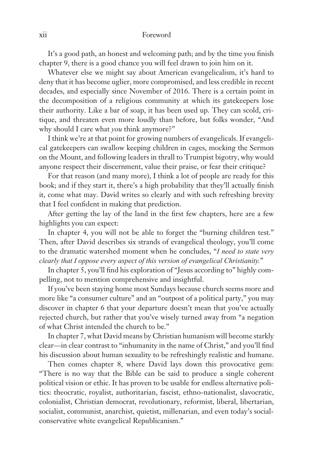#### xii Foreword

It's a good path, an honest and welcoming path; and by the time you finish chapter 9, there is a good chance you will feel drawn to join him on it.

Whatever else we might say about American evangelicalism, it's hard to deny that it has become uglier, more compromised, and less credible in recent decades, and especially since November of 2016. There is a certain point in the decomposition of a religious community at which its gatekeepers lose their authority. Like a bar of soap, it has been used up. They can scold, critique, and threaten even more loudly than before, but folks wonder, "And why should I care what *you* think anymore?"

I think we're at that point for growing numbers of evangelicals. If evangelical gatekeepers can swallow keeping children in cages, mocking the Sermon on the Mount, and following leaders in thrall to Trumpist bigotry, why would anyone respect their discernment, value their praise, or fear their critique?

For that reason (and many more), I think a lot of people are ready for this book; and if they start it, there's a high probability that they'll actually finish it, come what may. David writes so clearly and with such refreshing brevity that I feel confident in making that prediction.

After getting the lay of the land in the first few chapters, here are a few highlights you can expect:

In chapter 4, you will not be able to forget the "burning children test." Then, after David describes six strands of evangelical theology, you'll come to the dramatic watershed moment when he concludes, "*I need to state very clearly that I oppose every aspect of this version of evangelical Christianity.*"

In chapter 5, you'll find his exploration of "Jesus according to" highly compelling, not to mention comprehensive and insightful.

If you've been staying home most Sundays because church seems more and more like "a consumer culture" and an "outpost of a political party," you may discover in chapter 6 that your departure doesn't mean that you've actually rejected church, but rather that you've wisely turned away from "a negation of what Christ intended the church to be."

In chapter 7, what David means by Christian humanism will become starkly clear—in clear contrast to "inhumanity in the name of Christ," and you'll find his discussion about human sexuality to be refreshingly realistic and humane.

Then comes chapter 8, where David lays down this provocative gem: "There is no way that the Bible can be said to produce a single coherent political vision or ethic. It has proven to be usable for endless alternative politics: theocratic, royalist, authoritarian, fascist, ethno-nationalist, slavocratic, colonialist, Christian democrat, revolutionary, reformist, liberal, libertarian, socialist, communist, anarchist, quietist, millenarian, and even today's socialconservative white evangelical Republicanism."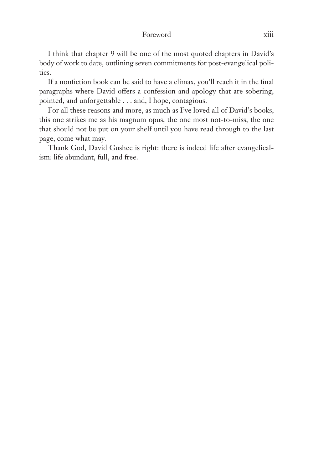#### Foreword  $\overrightarrow{v}$  xiii

I think that chapter 9 will be one of the most quoted chapters in David's body of work to date, outlining seven commitments for post-evangelical politics.

If a nonfiction book can be said to have a climax, you'll reach it in the final paragraphs where David offers a confession and apology that are sobering, pointed, and unforgettable . . . and, I hope, contagious.

For all these reasons and more, as much as I've loved all of David's books, this one strikes me as his magnum opus, the one most not-to-miss, the one that should not be put on your shelf until you have read through to the last page, come what may.

Thank God, David Gushee is right: there is indeed life after evangelicalism: life abundant, full, and free.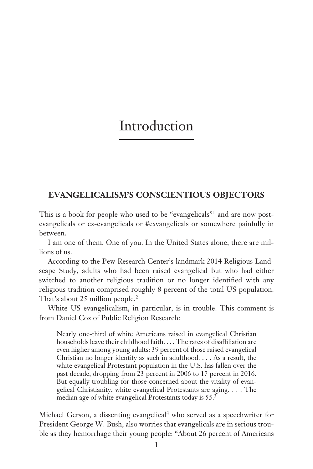#### **EVANGELICALISM'S CONSCIENTIOUS OBJECTORS**

This is a book for people who used to be "evangelicals"<sup>1</sup> and are now postevangelicals or ex-evangelicals or #exvangelicals or somewhere painfully in between.

I am one of them. One of you. In the United States alone, there are millions of us.

According to the Pew Research Center's landmark 2014 Religious Landscape Study, adults who had been raised evangelical but who had either switched to another religious tradition or no longer identified with any religious tradition comprised roughly 8 percent of the total US population. That's about 25 million people.<sup>2</sup>

White US evangelicalism, in particular, is in trouble. This comment is from Daniel Cox of Public Religion Research:

Nearly one-third of white Americans raised in evangelical Christian households leave their childhood faith. . . . The rates of disaffiliation are even higher among young adults: 39 percent of those raised evangelical Christian no longer identify as such in adulthood. . . . As a result, the white evangelical Protestant population in the U.S. has fallen over the past decade, dropping from 23 percent in 2006 to 17 percent in 2016. But equally troubling for those concerned about the vitality of evangelical Christianity, white evangelical Protestants are aging. . . . The median age of white evangelical Protestants today is 55.3

Michael Gerson, a dissenting evangelical<sup>4</sup> who served as a speechwriter for President George W. Bush, also worries that evangelicals are in serious trouble as they hemorrhage their young people: "About 26 percent of Americans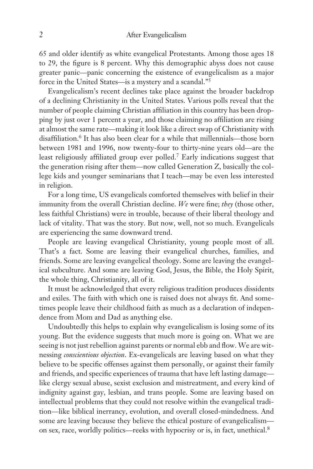65 and older identify as white evangelical Protestants. Among those ages 18 to 29, the figure is 8 percent. Why this demographic abyss does not cause greater panic—panic concerning the existence of evangelicalism as a major force in the United States—is a mystery and a scandal."5

Evangelicalism's recent declines take place against the broader backdrop of a declining Christianity in the United States. Various polls reveal that the number of people claiming Christian affiliation in this country has been dropping by just over 1 percent a year, and those claiming no affiliation are rising at almost the same rate—making it look like a direct swap of Christianity with disaffiliation.6 It has also been clear for a while that millennials—those born between 1981 and 1996, now twenty-four to thirty-nine years old—are the least religiously affiliated group ever polled.7 Early indications suggest that the generation rising after them—now called Generation Z, basically the college kids and younger seminarians that I teach—may be even less interested in religion.

For a long time, US evangelicals comforted themselves with belief in their immunity from the overall Christian decline. *We* were fine; *they* (those other, less faithful Christians) were in trouble, because of their liberal theology and lack of vitality. That was the story. But now, well, not so much. Evangelicals are experiencing the same downward trend.

People are leaving evangelical Christianity, young people most of all. That's a fact. Some are leaving their evangelical churches, families, and friends. Some are leaving evangelical theology. Some are leaving the evangelical subculture. And some are leaving God, Jesus, the Bible, the Holy Spirit, the whole thing, Christianity, all of it.

It must be acknowledged that every religious tradition produces dissidents and exiles. The faith with which one is raised does not always fit. And sometimes people leave their childhood faith as much as a declaration of independence from Mom and Dad as anything else.

Undoubtedly this helps to explain why evangelicalism is losing some of its young. But the evidence suggests that much more is going on. What we are seeing is not just rebellion against parents or normal ebb and flow. We are witnessing *conscientious objection*. Ex-evangelicals are leaving based on what they believe to be specific offenses against them personally, or against their family and friends, and specific experiences of trauma that have left lasting damage like clergy sexual abuse, sexist exclusion and mistreatment, and every kind of indignity against gay, lesbian, and trans people. Some are leaving based on intellectual problems that they could not resolve within the evangelical tradition—like biblical inerrancy, evolution, and overall closed-mindedness. And some are leaving because they believe the ethical posture of evangelicalism on sex, race, worldly politics—reeks with hypocrisy or is, in fact, unethical.8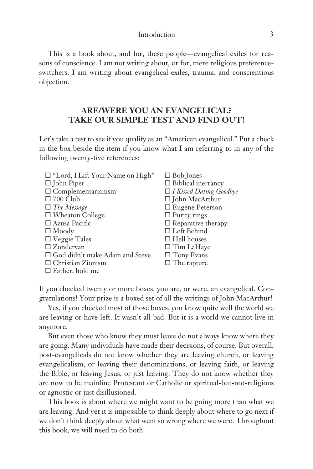This is a book about, and for, these people—evangelical exiles for reasons of conscience. I am not writing about, or for, mere religious preferenceswitchers. I am writing about evangelical exiles, trauma, and conscientious objection.

#### **ARE/WERE YOU AN EVANGELICAL? TAKE OUR SIMPLE TEST AND FIND OUT!**

Let's take a test to see if you qualify as an "American evangelical." Put a check in the box beside the item if you know what I am referring to in any of the following twenty-five references:

| □ "Lord, I Lift Your Name on High"    | $\Box$ Bob Jones               |
|---------------------------------------|--------------------------------|
| $\Box$ John Piper                     | $\Box$ Biblical inerrancy      |
| $\Box$ Complementarianism             | $\Box$ I Kissed Dating Goodbye |
| $\square$ 700 Club                    | $\square$ John MacArthur       |
| $\Box$ The Message                    | $\Box$ Eugene Peterson         |
| $\Box$ Wheaton College                | $\Box$ Purity rings            |
| $\Box$ Azusa Pacific                  | $\Box$ Reparative therapy      |
| $\Box$ Moody                          | $\Box$ Left Behind             |
| $\Box$ Veggie Tales                   | $\Box$ Hell houses             |
| $\square$ Zondervan                   | $\Box$ Tim LaHaye              |
| $\Box$ God didn't make Adam and Steve | $\Box$ Tony Evans              |
| $\Box$ Christian Zionism              | $\Box$ The rapture             |
| $\Box$ Father, hold me                |                                |

If you checked twenty or more boxes, you are, or were, an evangelical. Congratulations! Your prize is a boxed set of all the writings of John MacArthur!

Yes, if you checked most of those boxes, you know quite well the world we are leaving or have left. It wasn't all bad. But it is a world we cannot live in anymore.

But even those who know they must leave do not always know where they are going. Many individuals have made their decisions, of course. But overall, post-evangelicals do not know whether they are leaving church, or leaving evangelicalism, or leaving their denominations, or leaving faith, or leaving the Bible, or leaving Jesus, or just leaving. They do not know whether they are now to be mainline Protestant or Catholic or spiritual-but-not-religious or agnostic or just disillusioned.

This book is about where we might want to be going more than what we are leaving. And yet it is impossible to think deeply about where to go next if we don't think deeply about what went so wrong where we were. Throughout this book, we will need to do both.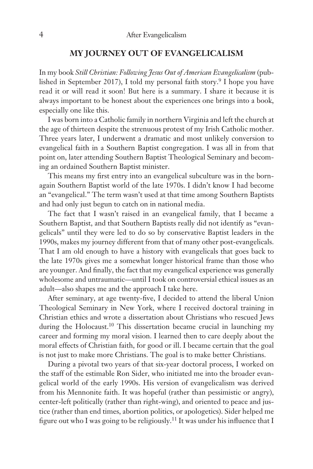#### **MY JOURNEY OUT OF EVANGELICALISM**

In my book *Still Christian: Following Jesus Out of American Evangelicalism* (published in September 2017), I told my personal faith story.<sup>9</sup> I hope you have read it or will read it soon! But here is a summary. I share it because it is always important to be honest about the experiences one brings into a book, especially one like this.

I was born into a Catholic family in northern Virginia and left the church at the age of thirteen despite the strenuous protest of my Irish Catholic mother. Three years later, I underwent a dramatic and most unlikely conversion to evangelical faith in a Southern Baptist congregation. I was all in from that point on, later attending Southern Baptist Theological Seminary and becoming an ordained Southern Baptist minister.

This means my first entry into an evangelical subculture was in the bornagain Southern Baptist world of the late 1970s. I didn't know I had become an "evangelical." The term wasn't used at that time among Southern Baptists and had only just begun to catch on in national media.

The fact that I wasn't raised in an evangelical family, that I became a Southern Baptist, and that Southern Baptists really did not identify as "evangelicals" until they were led to do so by conservative Baptist leaders in the 1990s, makes my journey different from that of many other post-evangelicals. That I am old enough to have a history with evangelicals that goes back to the late 1970s gives me a somewhat longer historical frame than those who are younger. And finally, the fact that my evangelical experience was generally wholesome and untraumatic—until I took on controversial ethical issues as an adult—also shapes me and the approach I take here.

After seminary, at age twenty-five, I decided to attend the liberal Union Theological Seminary in New York, where I received doctoral training in Christian ethics and wrote a dissertation about Christians who rescued Jews during the Holocaust.<sup>10</sup> This dissertation became crucial in launching my career and forming my moral vision. I learned then to care deeply about the moral effects of Christian faith, for good or ill. I became certain that the goal is not just to make more Christians. The goal is to make better Christians.

During a pivotal two years of that six-year doctoral process, I worked on the staff of the estimable Ron Sider, who initiated me into the broader evangelical world of the early 1990s. His version of evangelicalism was derived from his Mennonite faith. It was hopeful (rather than pessimistic or angry), center-left politically (rather than right-wing), and oriented to peace and justice (rather than end times, abortion politics, or apologetics). Sider helped me figure out who I was going to be religiously.<sup>11</sup> It was under his influence that I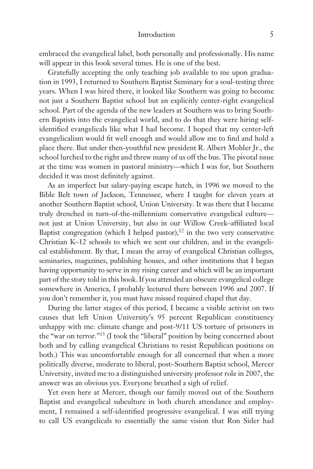embraced the evangelical label, both personally and professionally. His name will appear in this book several times. He is one of the best.

Gratefully accepting the only teaching job available to me upon graduation in 1993, I returned to Southern Baptist Seminary for a soul-testing three years. When I was hired there, it looked like Southern was going to become not just a Southern Baptist school but an explicitly center-right evangelical school. Part of the agenda of the new leaders at Southern was to bring Southern Baptists into the evangelical world, and to do that they were hiring selfidentified evangelicals like what I had become. I hoped that my center-left evangelicalism would fit well enough and would allow me to find and hold a place there. But under then-youthful new president R. Albert Mohler Jr., the school lurched to the right and threw many of us off the bus. The pivotal issue at the time was women in pastoral ministry—which I was for, but Southern decided it was most definitely against.

As an imperfect but salary-paying escape hatch, in 1996 we moved to the Bible Belt town of Jackson, Tennessee, where I taught for eleven years at another Southern Baptist school, Union University. It was there that I became truly drenched in turn-of-the-millennium conservative evangelical culture not just at Union University, but also in our Willow Creek–affiliated local Baptist congregation (which I helped pastor), $12$  in the two very conservative Christian K–12 schools to which we sent our children, and in the evangelical establishment. By that, I mean the array of evangelical Christian colleges, seminaries, magazines, publishing houses, and other institutions that I began having opportunity to serve in my rising career and which will be an important part of the story told in this book. If you attended an obscure evangelical college somewhere in America, I probably lectured there between 1996 and 2007. If you don't remember it, you must have missed required chapel that day.

During the latter stages of this period, I became a visible activist on two causes that left Union University's 95 percent Republican constituency unhappy with me: climate change and post-9/11 US torture of prisoners in the "war on terror."13 (I took the "liberal" position by being concerned about both and by calling evangelical Christians to resist Republican positions on both.) This was uncomfortable enough for all concerned that when a more politically diverse, moderate to liberal, post–Southern Baptist school, Mercer University, invited me to a distinguished university professor role in 2007, the answer was an obvious yes. Everyone breathed a sigh of relief.

Yet even here at Mercer, though our family moved out of the Southern Baptist and evangelical subculture in both church attendance and employment, I remained a self-identified progressive evangelical. I was still trying to call US evangelicals to essentially the same vision that Ron Sider had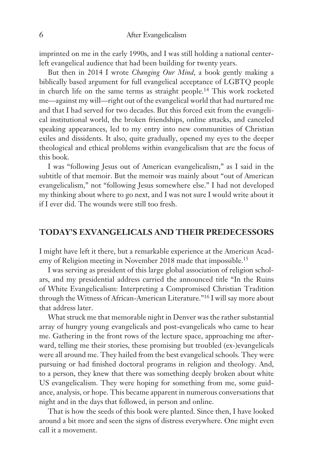imprinted on me in the early 1990s, and I was still holding a national centerleft evangelical audience that had been building for twenty years.

But then in 2014 I wrote *Changing Our Mind*, a book gently making a biblically based argument for full evangelical acceptance of LGBTQ people in church life on the same terms as straight people.14 This work rocketed me—against my will—right out of the evangelical world that had nurtured me and that I had served for two decades. But this forced exit from the evangelical institutional world, the broken friendships, online attacks, and canceled speaking appearances, led to my entry into new communities of Christian exiles and dissidents. It also, quite gradually, opened my eyes to the deeper theological and ethical problems within evangelicalism that are the focus of this book.

I was "following Jesus out of American evangelicalism," as I said in the subtitle of that memoir. But the memoir was mainly about "out of American evangelicalism," not "following Jesus somewhere else." I had not developed my thinking about where to go next, and I was not sure I would write about it if I ever did. The wounds were still too fresh.

#### **TODAY'S EXVANGELICALS AND THEIR PREDECESSORS**

I might have left it there, but a remarkable experience at the American Academy of Religion meeting in November 2018 made that impossible.15

I was serving as president of this large global association of religion scholars, and my presidential address carried the announced title "In the Ruins of White Evangelicalism: Interpreting a Compromised Christian Tradition through the Witness of African-American Literature."16 I will say more about that address later.

What struck me that memorable night in Denver was the rather substantial array of hungry young evangelicals and post-evangelicals who came to hear me. Gathering in the front rows of the lecture space, approaching me afterward, telling me their stories, these promising but troubled (ex-)evangelicals were all around me. They hailed from the best evangelical schools. They were pursuing or had finished doctoral programs in religion and theology. And, to a person, they knew that there was something deeply broken about white US evangelicalism. They were hoping for something from me, some guidance, analysis, or hope. This became apparent in numerous conversations that night and in the days that followed, in person and online.

That is how the seeds of this book were planted. Since then, I have looked around a bit more and seen the signs of distress everywhere. One might even call it a movement.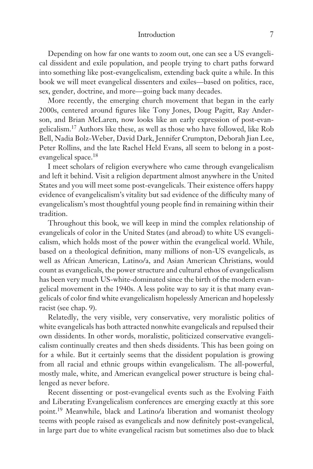Depending on how far one wants to zoom out, one can see a US evangelical dissident and exile population, and people trying to chart paths forward into something like post-evangelicalism, extending back quite a while. In this book we will meet evangelical dissenters and exiles—based on politics, race, sex, gender, doctrine, and more—going back many decades.

More recently, the emerging church movement that began in the early 2000s, centered around figures like Tony Jones, Doug Pagitt, Ray Anderson, and Brian McLaren, now looks like an early expression of post-evangelicalism.17 Authors like these, as well as those who have followed, like Rob Bell, Nadia Bolz-Weber, David Dark, Jennifer Crumpton, Deborah Jian Lee, Peter Rollins, and the late Rachel Held Evans, all seem to belong in a postevangelical space.18

I meet scholars of religion everywhere who came through evangelicalism and left it behind. Visit a religion department almost anywhere in the United States and you will meet some post-evangelicals. Their existence offers happy evidence of evangelicalism's vitality but sad evidence of the difficulty many of evangelicalism's most thoughtful young people find in remaining within their tradition.

Throughout this book, we will keep in mind the complex relationship of evangelicals of color in the United States (and abroad) to white US evangelicalism, which holds most of the power within the evangelical world. While, based on a theological definition, many millions of non-US evangelicals, as well as African American, Latino/a, and Asian American Christians, would count as evangelicals, the power structure and cultural ethos of evangelicalism has been very much US-white-dominated since the birth of the modern evangelical movement in the 1940s. A less polite way to say it is that many evangelicals of color find white evangelicalism hopelessly American and hopelessly racist (see chap. 9).

Relatedly, the very visible, very conservative, very moralistic politics of white evangelicals has both attracted nonwhite evangelicals and repulsed their own dissidents. In other words, moralistic, politicized conservative evangelicalism continually creates and then sheds dissidents. This has been going on for a while. But it certainly seems that the dissident population is growing from all racial and ethnic groups within evangelicalism. The all-powerful, mostly male, white, and American evangelical power structure is being challenged as never before.

Recent dissenting or post-evangelical events such as the Evolving Faith and Liberating Evangelicalism conferences are emerging exactly at this sore point.19 Meanwhile, black and Latino/a liberation and womanist theology teems with people raised as evangelicals and now definitely post-evangelical, in large part due to white evangelical racism but sometimes also due to black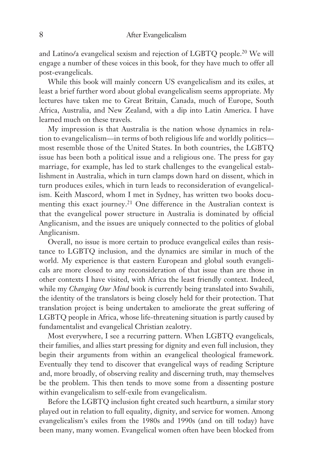and Latino/a evangelical sexism and rejection of LGBTQ people.20 We will engage a number of these voices in this book, for they have much to offer all post-evangelicals.

While this book will mainly concern US evangelicalism and its exiles, at least a brief further word about global evangelicalism seems appropriate. My lectures have taken me to Great Britain, Canada, much of Europe, South Africa, Australia, and New Zealand, with a dip into Latin America. I have learned much on these travels.

My impression is that Australia is the nation whose dynamics in relation to evangelicalism—in terms of both religious life and worldly politics most resemble those of the United States. In both countries, the LGBTQ issue has been both a political issue and a religious one. The press for gay marriage, for example, has led to stark challenges to the evangelical establishment in Australia, which in turn clamps down hard on dissent, which in turn produces exiles, which in turn leads to reconsideration of evangelicalism. Keith Mascord, whom I met in Sydney, has written two books documenting this exact journey.21 One difference in the Australian context is that the evangelical power structure in Australia is dominated by official Anglicanism, and the issues are uniquely connected to the politics of global Anglicanism.

Overall, no issue is more certain to produce evangelical exiles than resistance to LGBTQ inclusion, and the dynamics are similar in much of the world. My experience is that eastern European and global south evangelicals are more closed to any reconsideration of that issue than are those in other contexts I have visited, with Africa the least friendly context. Indeed, while my *Changing Our Mind* book is currently being translated into Swahili, the identity of the translators is being closely held for their protection. That translation project is being undertaken to ameliorate the great suffering of LGBTQ people in Africa, whose life-threatening situation is partly caused by fundamentalist and evangelical Christian zealotry.

Most everywhere, I see a recurring pattern. When LGBTQ evangelicals, their families, and allies start pressing for dignity and even full inclusion, they begin their arguments from within an evangelical theological framework. Eventually they tend to discover that evangelical ways of reading Scripture and, more broadly, of observing reality and discerning truth, may themselves be the problem. This then tends to move some from a dissenting posture within evangelicalism to self-exile from evangelicalism.

Before the LGBTQ inclusion fight created such heartburn, a similar story played out in relation to full equality, dignity, and service for women. Among evangelicalism's exiles from the 1980s and 1990s (and on till today) have been many, many women. Evangelical women often have been blocked from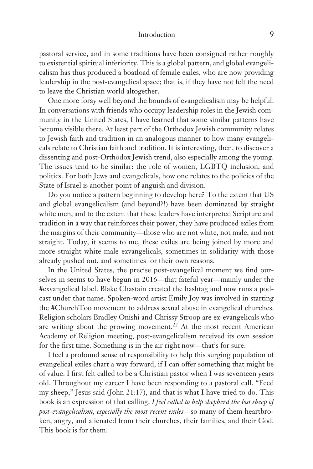pastoral service, and in some traditions have been consigned rather roughly to existential spiritual inferiority. This is a global pattern, and global evangelicalism has thus produced a boatload of female exiles, who are now providing leadership in the post-evangelical space; that is, if they have not felt the need to leave the Christian world altogether.

One more foray well beyond the bounds of evangelicalism may be helpful. In conversations with friends who occupy leadership roles in the Jewish community in the United States, I have learned that some similar patterns have become visible there. At least part of the Orthodox Jewish community relates to Jewish faith and tradition in an analogous manner to how many evangelicals relate to Christian faith and tradition. It is interesting, then, to discover a dissenting and post-Orthodox Jewish trend, also especially among the young. The issues tend to be similar: the role of women, LGBTQ inclusion, and politics. For both Jews and evangelicals, how one relates to the policies of the State of Israel is another point of anguish and division.

Do you notice a pattern beginning to develop here? To the extent that US and global evangelicalism (and beyond?!) have been dominated by straight white men, and to the extent that these leaders have interpreted Scripture and tradition in a way that reinforces their power, they have produced exiles from the margins of their community—those who are not white, not male, and not straight. Today, it seems to me, these exiles are being joined by more and more straight white male exvangelicals, sometimes in solidarity with those already pushed out, and sometimes for their own reasons.

In the United States, the precise post-evangelical moment we find ourselves in seems to have begun in 2016—that fateful year—mainly under the #exvangelical label. Blake Chastain created the hashtag and now runs a podcast under that name. Spoken-word artist Emily Joy was involved in starting the #ChurchToo movement to address sexual abuse in evangelical churches. Religion scholars Bradley Onishi and Chrissy Stroop are ex-evangelicals who are writing about the growing movement.<sup>22</sup> At the most recent American Academy of Religion meeting, post-evangelicalism received its own session for the first time. Something is in the air right now—that's for sure.

I feel a profound sense of responsibility to help this surging population of evangelical exiles chart a way forward, if I can offer something that might be of value. I first felt called to be a Christian pastor when I was seventeen years old. Throughout my career I have been responding to a pastoral call. "Feed my sheep," Jesus said (John 21:17), and that is what I have tried to do. This book is an expression of that calling. *I feel called to help shepherd the lost sheep of post-evangelicalism, especially the most recent exiles—*so many of them heartbroken, angry, and alienated from their churches, their families, and their God. This book is for them.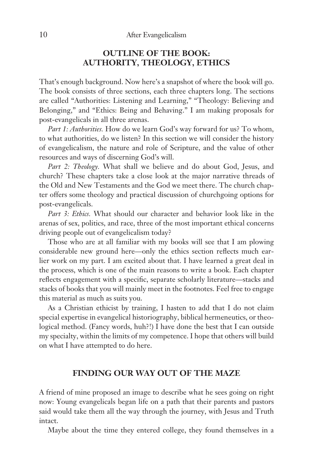#### **OUTLINE OF THE BOOK: AUTHORITY, THEOLOGY, ETHICS**

That's enough background. Now here's a snapshot of where the book will go. The book consists of three sections, each three chapters long. The sections are called "Authorities: Listening and Learning," "Theology: Believing and Belonging," and "Ethics: Being and Behaving." I am making proposals for post-evangelicals in all three arenas.

*Part 1: Authorities.* How do we learn God's way forward for us? To whom, to what authorities, do we listen? In this section we will consider the history of evangelicalism, the nature and role of Scripture, and the value of other resources and ways of discerning God's will.

*Part 2: Theology.* What shall we believe and do about God, Jesus, and church? These chapters take a close look at the major narrative threads of the Old and New Testaments and the God we meet there. The church chapter offers some theology and practical discussion of churchgoing options for post-evangelicals.

*Part 3: Ethics.* What should our character and behavior look like in the arenas of sex, politics, and race, three of the most important ethical concerns driving people out of evangelicalism today?

Those who are at all familiar with my books will see that I am plowing considerable new ground here—only the ethics section reflects much earlier work on my part. I am excited about that. I have learned a great deal in the process, which is one of the main reasons to write a book. Each chapter reflects engagement with a specific, separate scholarly literature—stacks and stacks of books that you will mainly meet in the footnotes. Feel free to engage this material as much as suits you.

As a Christian ethicist by training, I hasten to add that I do not claim special expertise in evangelical historiography, biblical hermeneutics, or theological method. (Fancy words, huh?!) I have done the best that I can outside my specialty, within the limits of my competence. I hope that others will build on what I have attempted to do here.

#### **FINDING OUR WAY OUT OF THE MAZE**

A friend of mine proposed an image to describe what he sees going on right now: Young evangelicals began life on a path that their parents and pastors said would take them all the way through the journey, with Jesus and Truth intact.

Maybe about the time they entered college, they found themselves in a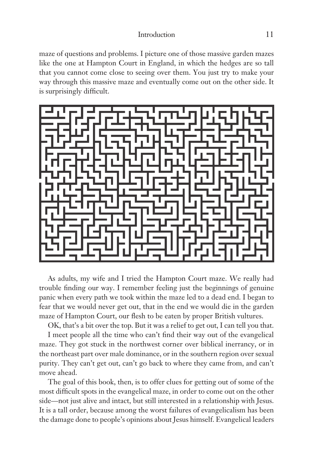maze of questions and problems. I picture one of those massive garden mazes like the one at Hampton Court in England, in which the hedges are so tall that you cannot come close to seeing over them. You just try to make your way through this massive maze and eventually come out on the other side. It is surprisingly difficult.



As adults, my wife and I tried the Hampton Court maze. We really had trouble finding our way. I remember feeling just the beginnings of genuine panic when every path we took within the maze led to a dead end. I began to fear that we would never get out, that in the end we would die in the garden maze of Hampton Court, our flesh to be eaten by proper British vultures.

OK, that's a bit over the top. But it was a relief to get out, I can tell you that.

I meet people all the time who can't find their way out of the evangelical maze. They got stuck in the northwest corner over biblical inerrancy, or in the northeast part over male dominance, or in the southern region over sexual purity. They can't get out, can't go back to where they came from, and can't move ahead.

The goal of this book, then, is to offer clues for getting out of some of the most difficult spots in the evangelical maze, in order to come out on the other side—not just alive and intact, but still interested in a relationship with Jesus. It is a tall order, because among the worst failures of evangelicalism has been the damage done to people's opinions about Jesus himself. Evangelical leaders